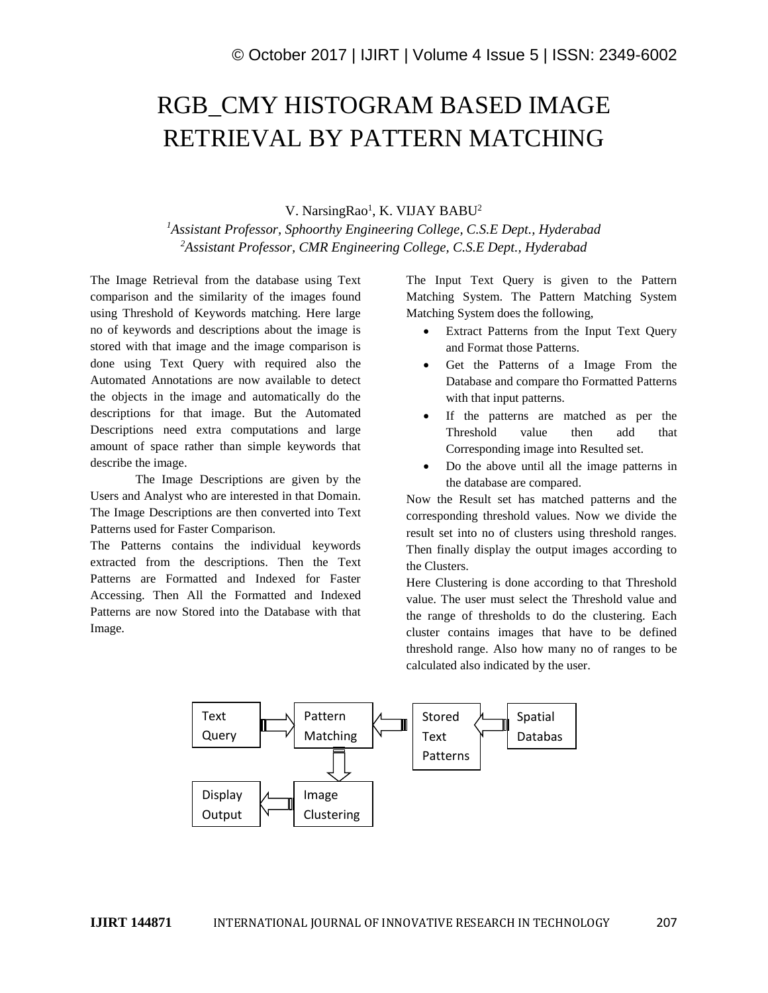## RGB\_CMY HISTOGRAM BASED IMAGE RETRIEVAL BY PATTERN MATCHING

V. NarsingRao<sup>1</sup>, K. VIJAY BABU<sup>2</sup>

*<sup>1</sup>Assistant Professor, Sphoorthy Engineering College, C.S.E Dept., Hyderabad <sup>2</sup>Assistant Professor, CMR Engineering College, C.S.E Dept., Hyderabad*

The Image Retrieval from the database using Text comparison and the similarity of the images found using Threshold of Keywords matching. Here large no of keywords and descriptions about the image is stored with that image and the image comparison is done using Text Query with required also the Automated Annotations are now available to detect the objects in the image and automatically do the descriptions for that image. But the Automated Descriptions need extra computations and large amount of space rather than simple keywords that describe the image.

The Image Descriptions are given by the Users and Analyst who are interested in that Domain. The Image Descriptions are then converted into Text Patterns used for Faster Comparison.

The Patterns contains the individual keywords extracted from the descriptions. Then the Text Patterns are Formatted and Indexed for Faster Accessing. Then All the Formatted and Indexed Patterns are now Stored into the Database with that Image.

The Input Text Query is given to the Pattern Matching System. The Pattern Matching System Matching System does the following,

- Extract Patterns from the Input Text Query and Format those Patterns.
- Get the Patterns of a Image From the Database and compare tho Formatted Patterns with that input patterns.
- If the patterns are matched as per the Threshold value then add that Corresponding image into Resulted set.
- Do the above until all the image patterns in the database are compared.

Now the Result set has matched patterns and the corresponding threshold values. Now we divide the result set into no of clusters using threshold ranges. Then finally display the output images according to the Clusters.

Here Clustering is done according to that Threshold value. The user must select the Threshold value and the range of thresholds to do the clustering. Each cluster contains images that have to be defined threshold range. Also how many no of ranges to be calculated also indicated by the user.

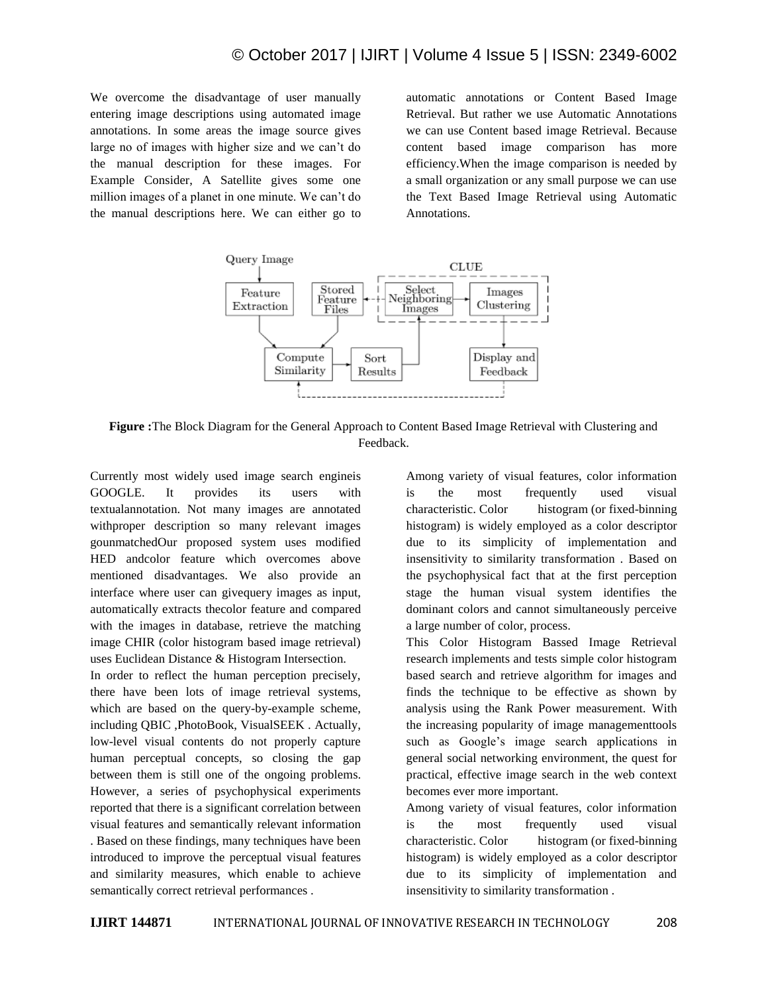We overcome the disadvantage of user manually entering image descriptions using automated image annotations. In some areas the image source gives large no of images with higher size and we can't do the manual description for these images. For Example Consider, A Satellite gives some one million images of a planet in one minute. We can't do the manual descriptions here. We can either go to automatic annotations or Content Based Image Retrieval. But rather we use Automatic Annotations we can use Content based image Retrieval. Because content based image comparison has more efficiency.When the image comparison is needed by a small organization or any small purpose we can use the Text Based Image Retrieval using Automatic Annotations.



**Figure :**The Block Diagram for the General Approach to Content Based Image Retrieval with Clustering and Feedback.

Currently most widely used image search engineis GOOGLE. It provides its users with textualannotation. Not many images are annotated withproper description so many relevant images gounmatchedOur proposed system uses modified HED andcolor feature which overcomes above mentioned disadvantages. We also provide an interface where user can givequery images as input, automatically extracts thecolor feature and compared with the images in database, retrieve the matching image CHIR (color histogram based image retrieval) uses Euclidean Distance & Histogram Intersection.

In order to reflect the human perception precisely, there have been lots of image retrieval systems, which are based on the query-by-example scheme, including QBIC ,PhotoBook, VisualSEEK . Actually, low-level visual contents do not properly capture human perceptual concepts, so closing the gap between them is still one of the ongoing problems. However, a series of psychophysical experiments reported that there is a significant correlation between visual features and semantically relevant information . Based on these findings, many techniques have been introduced to improve the perceptual visual features and similarity measures, which enable to achieve semantically correct retrieval performances .

Among variety of visual features, color information is the most frequently used visual characteristic. Color histogram (or fixed-binning histogram) is widely employed as a color descriptor due to its simplicity of implementation and insensitivity to similarity transformation . Based on the psychophysical fact that at the first perception stage the human visual system identifies the dominant colors and cannot simultaneously perceive a large number of color, process.

This Color Histogram Bassed Image Retrieval research implements and tests simple color histogram based search and retrieve algorithm for images and finds the technique to be effective as shown by analysis using the Rank Power measurement. With the increasing popularity of image managementtools such as Google's image search applications in general social networking environment, the quest for practical, effective image search in the web context becomes ever more important.

Among variety of visual features, color information is the most frequently used visual characteristic. Color histogram (or fixed-binning histogram) is widely employed as a color descriptor due to its simplicity of implementation and insensitivity to similarity transformation .